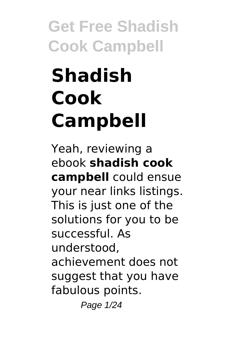# **Shadish Cook Campbell**

Yeah, reviewing a ebook **shadish cook campbell** could ensue your near links listings. This is just one of the solutions for you to be successful. As understood, achievement does not suggest that you have fabulous points. Page 1/24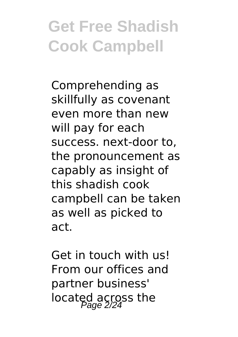Comprehending as skillfully as covenant even more than new will pay for each success. next-door to, the pronouncement as capably as insight of this shadish cook campbell can be taken as well as picked to act.

Get in touch with us! From our offices and partner business' located across the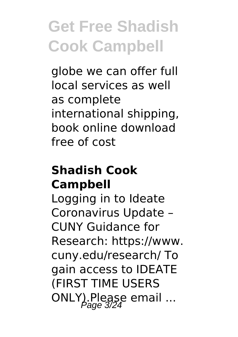globe we can offer full local services as well as complete international shipping, book online download free of cost

#### **Shadish Cook Campbell**

Logging in to Ideate Coronavirus Update – CUNY Guidance for Research: https://www. cuny.edu/research/ To gain access to IDEATE (FIRST TIME USERS ONLY).Please email ...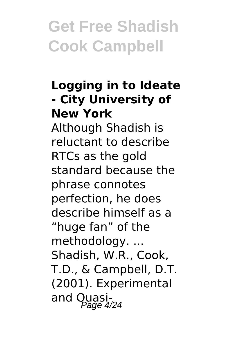#### **Logging in to Ideate - City University of New York**

Although Shadish is reluctant to describe RTCs as the gold standard because the phrase connotes perfection, he does describe himself as a "huge fan" of the methodology. ... Shadish, W.R., Cook, T.D., & Campbell, D.T. (2001). Experimental and Quasi-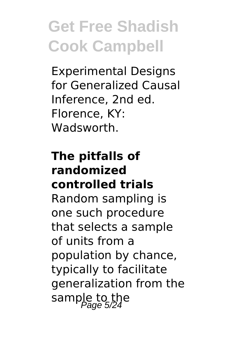Experimental Designs for Generalized Causal Inference, 2nd ed. Florence, KY: **Wadsworth** 

#### **The pitfalls of randomized controlled trials**

Random sampling is one such procedure that selects a sample of units from a population by chance, typically to facilitate generalization from the sample to the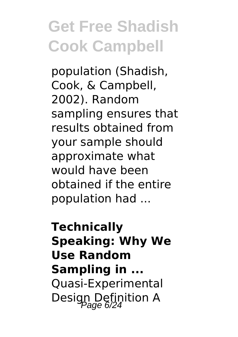population (Shadish, Cook, & Campbell, 2002). Random sampling ensures that results obtained from your sample should approximate what would have been obtained if the entire population had ...

**Technically Speaking: Why We Use Random Sampling in ...** Quasi-Experimental Design Definition A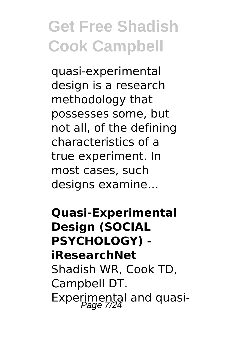quasi-experimental design is a research methodology that possesses some, but not all, of the defining characteristics of a true experiment. In most cases, such designs examine…

**Quasi-Experimental Design (SOCIAL PSYCHOLOGY) iResearchNet** Shadish WR, Cook TD, Campbell DT. Experimental and quasi-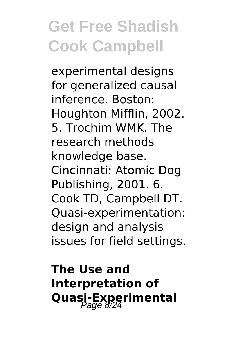experimental designs for generalized causal inference. Boston: Houghton Mifflin, 2002. 5. Trochim WMK. The research methods knowledge base. Cincinnati: Atomic Dog Publishing, 2001. 6. Cook TD, Campbell DT. Quasi-experimentation: design and analysis issues for field settings.

**The Use and Interpretation of Quasi-Experimental**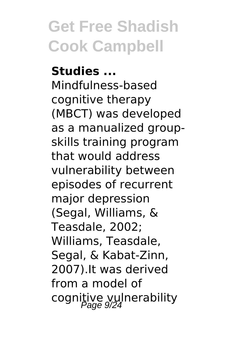**Studies ...** Mindfulness-based cognitive therapy (MBCT) was developed as a manualized groupskills training program that would address vulnerability between episodes of recurrent major depression (Segal, Williams, & Teasdale, 2002; Williams, Teasdale, Segal, & Kabat-Zinn, 2007).It was derived from a model of cognitive vulnerability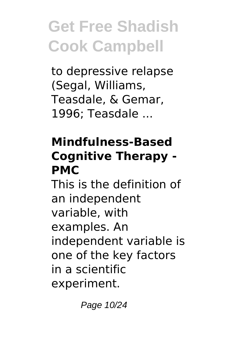to depressive relapse (Segal, Williams, Teasdale, & Gemar, 1996; Teasdale ...

#### **Mindfulness-Based Cognitive Therapy - PMC**

This is the definition of an independent variable, with examples. An independent variable is one of the key factors in a scientific experiment.

Page 10/24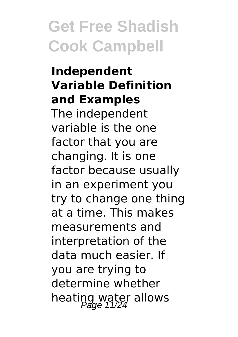#### **Independent Variable Definition and Examples**

The independent variable is the one factor that you are changing. It is one factor because usually in an experiment you try to change one thing at a time. This makes measurements and interpretation of the data much easier. If you are trying to determine whether heating water allows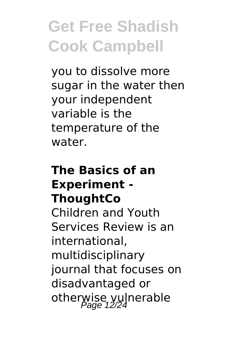you to dissolve more sugar in the water then your independent variable is the temperature of the water.

#### **The Basics of an Experiment - ThoughtCo** Children and Youth Services Review is an international, multidisciplinary journal that focuses on disadvantaged or otherwise vulnerable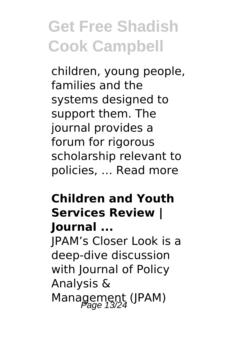children, young people, families and the systems designed to support them. The journal provides a forum for rigorous scholarship relevant to policies, … Read more

#### **Children and Youth Services Review | Journal ...**

JPAM's Closer Look is a deep-dive discussion with Journal of Policy Analysis & Management (JPAM)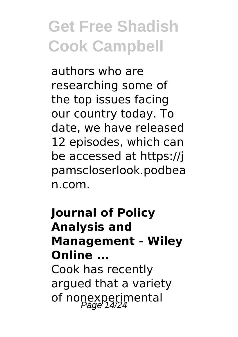authors who are researching some of the top issues facing our country today. To date, we have released 12 episodes, which can be accessed at https://j pamscloserlook.podbea n.com.

#### **Journal of Policy Analysis and Management - Wiley Online ...** Cook has recently argued that a variety of nonexperimental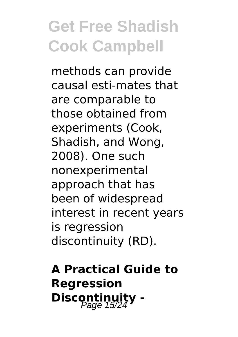methods can provide causal esti-mates that are comparable to those obtained from experiments (Cook, Shadish, and Wong, 2008). One such nonexperimental approach that has been of widespread interest in recent years is regression discontinuity (RD).

#### **A Practical Guide to Regression Discontinuity -**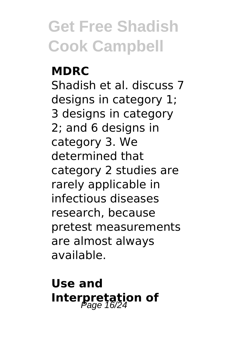#### **MDRC** Shadish et al. discuss 7 designs in category 1; 3 designs in category 2; and 6 designs in category 3. We determined that category 2 studies are rarely applicable in infectious diseases research, because pretest measurements are almost always available.

#### **Use and Interpretation of**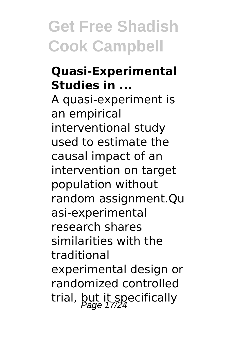#### **Quasi-Experimental Studies in ...**

A quasi-experiment is an empirical interventional study used to estimate the causal impact of an intervention on target population without random assignment.Qu asi-experimental research shares similarities with the traditional experimental design or randomized controlled trial, but it specifically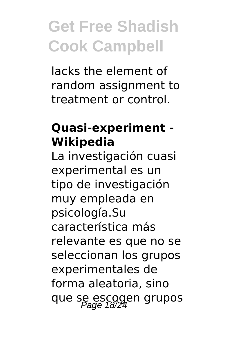lacks the element of random assignment to treatment or control.

#### **Quasi-experiment - Wikipedia**

La investigación cuasi experimental es un tipo de investigación muy empleada en psicología.Su característica más relevante es que no se seleccionan los grupos experimentales de forma aleatoria, sino que se escogen grupos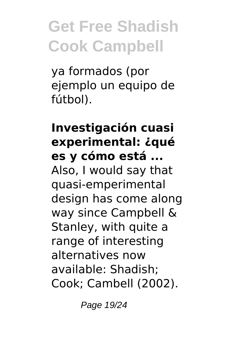ya formados (por ejemplo un equipo de fútbol).

#### **Investigación cuasi experimental: ¿qué es y cómo está ...** Also, I would say that quasi-emperimental design has come along way since Campbell & Stanley, with quite a range of interesting alternatives now available: Shadish; Cook; Cambell (2002).

Page 19/24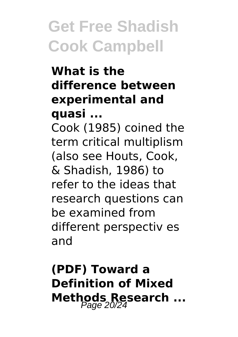#### **What is the difference between experimental and quasi ...**

Cook (1985) coined the term critical multiplism (also see Houts, Cook, & Shadish, 1986) to refer to the ideas that research questions can be examined from different perspectiv es and

#### **(PDF) Toward a Definition of Mixed Methods Research ...**<br> $P_{age}^{20/24}$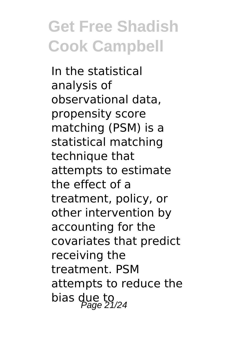In the statistical analysis of observational data, propensity score matching (PSM) is a statistical matching technique that attempts to estimate the effect of a treatment, policy, or other intervention by accounting for the covariates that predict receiving the treatment. PSM attempts to reduce the bias due to  $P_{\text{age}}$  21/24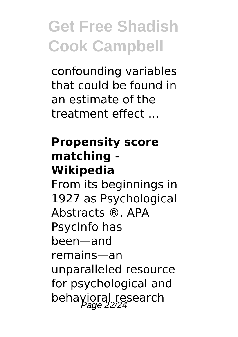confounding variables that could be found in an estimate of the treatment effect ...

#### **Propensity score matching - Wikipedia**

From its beginnings in 1927 as Psychological Abstracts ®, APA PsycInfo has been—and remains—an unparalleled resource for psychological and behavioral research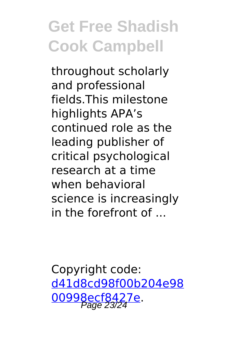throughout scholarly and professional fields.This milestone highlights APA's continued role as the leading publisher of critical psychological research at a time when behavioral science is increasingly in the forefront of  $\,$ 

Copyright code: [d41d8cd98f00b204e98](/sitemap.xml) [00998ecf8427e.](/sitemap.xml) Page 23/24